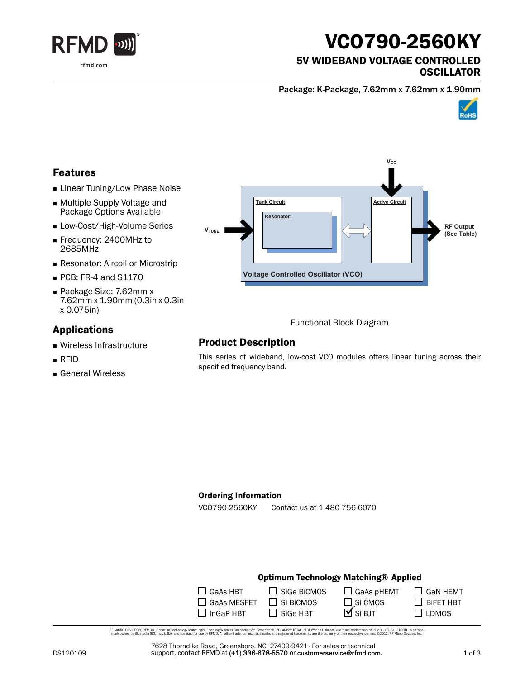

# VCO790-2560KY

### 5V WIDEBAND VOLTAGE CONTROLLED **OSCILLATOR**

Package: K-Package, 7.62mm x 7.62mm x 1.90mm



# Features

- **Linear Tuning/Low Phase Noise**
- Multiple Supply Voltage and Package Options Available
- **Low-Cost/High-Volume Series**
- Frequency: 2400MHz to 2685MHz
- **Resonator: Aircoil or Microstrip**
- PCB: FR-4 and S1170
- Package Size: 7.62mm x 7.62mm x 1.90mm (0.3in x 0.3in x 0.075in)

### Applications

- Wireless Infrastructure
- RFID
- General Wireless



Functional Block Diagram

# Product Description

This series of wideband, low-cost VCO modules offers linear tuning across their specified frequency band.

#### Ordering Information

VCO790-2560KY Contact us at 1-480-756-6070

#### Optimum Technology Matching® Applied

| $\Box$ GaAs HBT    | $\Box$ Sige BiCMOS | $\Box$ GaAs pHEMT   |
|--------------------|--------------------|---------------------|
| $\Box$ GaAs MESFET | $\Box$ Si BiCMOS   | $\square$ Si CMOS   |
| $\Box$ InGaP HBT   | $\Box$ Sige HBT    | $\mathbf{M}$ Si BJT |

RF MCRO DEVCES®, RFMD®, Optimum Technology Matching®, Erabling Wireless Connectivity™, PowerStar®, POLARIS™ TOTAL RADIO™ and UltimateBlue™ are trademarks of RFMD, LLC. BLUETOOTH is a trade<br>… mark owned by Bluetooth SIG, i

7628 Thorndike Road, Greensboro, NC 27409-9421 · For sales or technical support, contact RFMD at (+1) 336-678-5570 or customerservice@rfmd.com.  $\Box$  GaN HEMT

 $\Box$  BiFET HBT  $\square$  LDMOS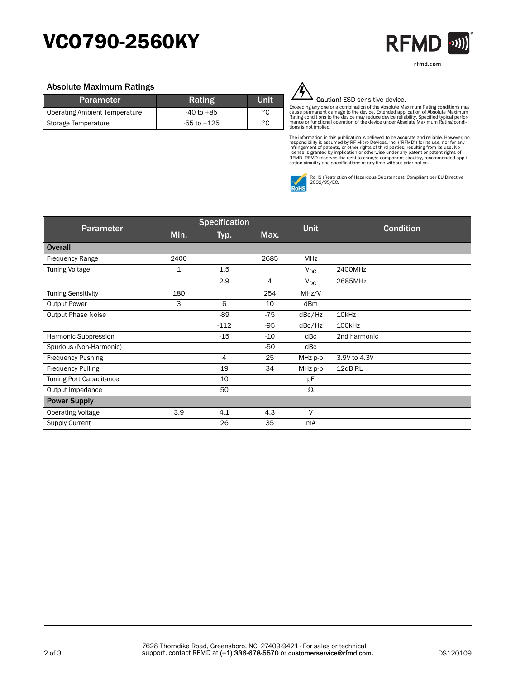# VCO790-2560KY



#### Absolute Maximum Ratings

| <b>Parameter</b>              | Rating         | Unit |
|-------------------------------|----------------|------|
| Operating Ambient Temperature | $-40$ to $+85$ | °C   |
| Storage Temperature           | -55 to +125    | °C   |



#### Caution! ESD sensitive device.

Exceeding any one or a combination of the Absolute Maximum Rating conditions may<br>cause permanent damage to the device. Extended application of Absolute Maximum<br>Rating conditions to the device may reduce device reliability. tions is not implied.

The information in this publication is believed to be accurate and reliable. However, no<br>responsibility is assumed by RF Micro Devices, Inc. ("RFMD") for its use, nor for any<br>infringement of patents, or other rights of thi



RoHS (Restriction of Hazardous Substances): Compliant per EU Directive 2002/95/EC.

| Parameter                 | <b>Specification</b> |                |       | <b>Unit</b> | <b>Condition</b> |
|---------------------------|----------------------|----------------|-------|-------------|------------------|
|                           | Min.                 | Typ.           | Max.  |             |                  |
| <b>Overall</b>            |                      |                |       |             |                  |
| <b>Frequency Range</b>    | 2400                 |                | 2685  | MHz         |                  |
| <b>Tuning Voltage</b>     | $\mathbf{1}$         | 1.5            |       | $V_{DC}$    | 2400MHz          |
|                           |                      | 2.9            | 4     | $V_{DC}$    | 2685MHz          |
| <b>Tuning Sensitivity</b> | 180                  |                | 254   | MHz/V       |                  |
| <b>Output Power</b>       | 3                    | 6              | 10    | dBm         |                  |
| <b>Output Phase Noise</b> |                      | $-89$          | $-75$ | dBc/Hz      | 10kHz            |
|                           |                      | $-112$         | $-95$ | dBc/Hz      | 100kHz           |
| Harmonic Suppression      |                      | $-15$          | $-10$ | dBc         | 2nd harmonic     |
| Spurious (Non-Harmonic)   |                      |                | -50   | dBc         |                  |
| <b>Frequency Pushing</b>  |                      | $\overline{4}$ | 25    | MHz p-p     | 3.9V to 4.3V     |
| <b>Frequency Pulling</b>  |                      | 19             | 34    | MHz p-p     | 12dB RL          |
| Tuning Port Capacitance   |                      | 10             |       | pF          |                  |
| Output Impedance          |                      | 50             |       | Ω           |                  |
| <b>Power Supply</b>       |                      |                |       |             |                  |
| <b>Operating Voltage</b>  | 3.9                  | 4.1            | 4.3   | $\vee$      |                  |
| <b>Supply Current</b>     |                      | 26             | 35    | mA          |                  |